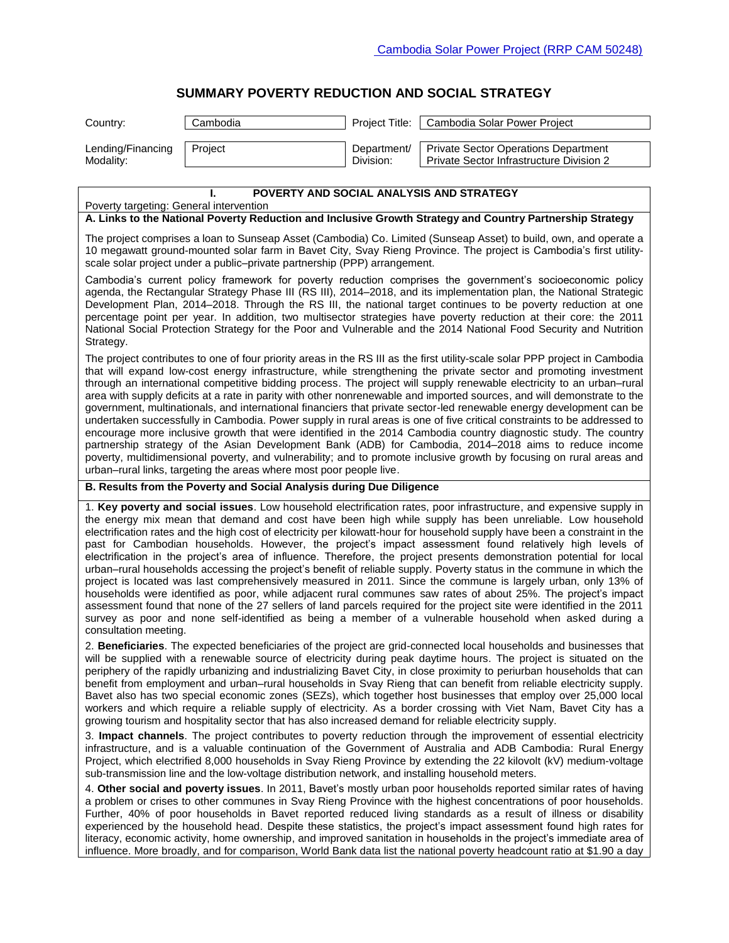## **SUMMARY POVERTY REDUCTION AND SOCIAL STRATEGY**

| Country:          | Cambodia |             | Project Title:   Cambodia Solar Power Project |
|-------------------|----------|-------------|-----------------------------------------------|
| Lending/Financing | Project  | Department/ | Private Sector Operations Department          |
| Modality:         |          | Division:   | Private Sector Infrastructure Division 2      |

## **I. POVERTY AND SOCIAL ANALYSIS AND STRATEGY**

Poverty targeting: General intervention

#### **A. Links to the National Poverty Reduction and Inclusive Growth Strategy and Country Partnership Strategy**

The project comprises a loan to Sunseap Asset (Cambodia) Co. Limited (Sunseap Asset) to build, own, and operate a 10 megawatt ground-mounted solar farm in Bavet City, Svay Rieng Province. The project is Cambodia's first utilityscale solar project under a public–private partnership (PPP) arrangement.

Cambodia's current policy framework for poverty reduction comprises the government's socioeconomic policy agenda, the Rectangular Strategy Phase III (RS III), 2014–2018, and its implementation plan, the National Strategic Development Plan, 2014–2018. Through the RS III, the national target continues to be poverty reduction at one percentage point per year. In addition, two multisector strategies have poverty reduction at their core: the 2011 National Social Protection Strategy for the Poor and Vulnerable and the 2014 National Food Security and Nutrition Strategy.

The project contributes to one of four priority areas in the RS III as the first utility-scale solar PPP project in Cambodia that will expand low-cost energy infrastructure, while strengthening the private sector and promoting investment through an international competitive bidding process. The project will supply renewable electricity to an urban–rural area with supply deficits at a rate in parity with other nonrenewable and imported sources, and will demonstrate to the government, multinationals, and international financiers that private sector-led renewable energy development can be undertaken successfully in Cambodia. Power supply in rural areas is one of five critical constraints to be addressed to encourage more inclusive growth that were identified in the 2014 Cambodia country diagnostic study. The country partnership strategy of the Asian Development Bank (ADB) for Cambodia, 2014–2018 aims to reduce income poverty, multidimensional poverty, and vulnerability; and to promote inclusive growth by focusing on rural areas and urban–rural links, targeting the areas where most poor people live.

### **B. Results from the Poverty and Social Analysis during Due Diligence**

1. **Key poverty and social issues**. Low household electrification rates, poor infrastructure, and expensive supply in the energy mix mean that demand and cost have been high while supply has been unreliable. Low household electrification rates and the high cost of electricity per kilowatt-hour for household supply have been a constraint in the past for Cambodian households. However, the project's impact assessment found relatively high levels of electrification in the project's area of influence. Therefore, the project presents demonstration potential for local urban–rural households accessing the project's benefit of reliable supply. Poverty status in the commune in which the project is located was last comprehensively measured in 2011. Since the commune is largely urban, only 13% of households were identified as poor, while adjacent rural communes saw rates of about 25%. The project's impact assessment found that none of the 27 sellers of land parcels required for the project site were identified in the 2011 survey as poor and none self-identified as being a member of a vulnerable household when asked during a consultation meeting.

2. **Beneficiaries**. The expected beneficiaries of the project are grid-connected local households and businesses that will be supplied with a renewable source of electricity during peak daytime hours. The project is situated on the periphery of the rapidly urbanizing and industrializing Bavet City, in close proximity to periurban households that can benefit from employment and urban–rural households in Svay Rieng that can benefit from reliable electricity supply. Bavet also has two special economic zones (SEZs), which together host businesses that employ over 25,000 local workers and which require a reliable supply of electricity. As a border crossing with Viet Nam, Bavet City has a growing tourism and hospitality sector that has also increased demand for reliable electricity supply.

3. **Impact channels**. The project contributes to poverty reduction through the improvement of essential electricity infrastructure, and is a valuable continuation of the Government of Australia and ADB Cambodia: Rural Energy Project, which electrified 8,000 households in Svay Rieng Province by extending the 22 kilovolt (kV) medium-voltage sub-transmission line and the low-voltage distribution network, and installing household meters.

4. **Other social and poverty issues**. In 2011, Bavet's mostly urban poor households reported similar rates of having a problem or crises to other communes in Svay Rieng Province with the highest concentrations of poor households. Further, 40% of poor households in Bavet reported reduced living standards as a result of illness or disability experienced by the household head. Despite these statistics, the project's impact assessment found high rates for literacy, economic activity, home ownership, and improved sanitation in households in the project's immediate area of influence. More broadly, and for comparison, World Bank data list the national poverty headcount ratio at \$1.90 a day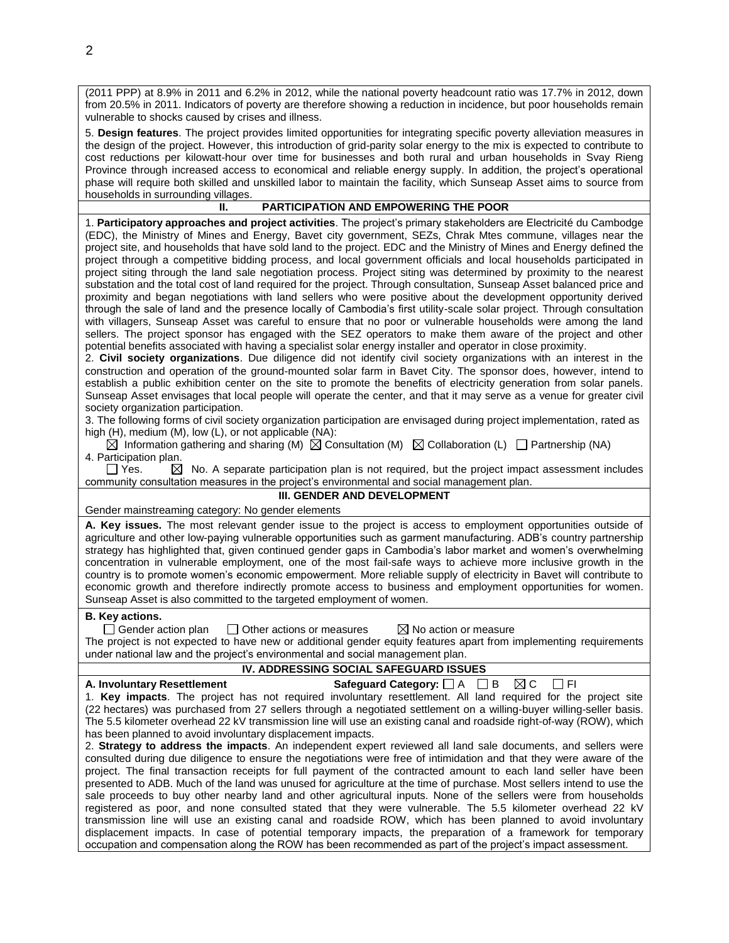(2011 PPP) at 8.9% in 2011 and 6.2% in 2012, while the national poverty headcount ratio was 17.7% in 2012, down from 20.5% in 2011. Indicators of poverty are therefore showing a reduction in incidence, but poor households remain vulnerable to shocks caused by crises and illness.

5. **Design features**. The project provides limited opportunities for integrating specific poverty alleviation measures in the design of the project. However, this introduction of grid-parity solar energy to the mix is expected to contribute to cost reductions per kilowatt-hour over time for businesses and both rural and urban households in Svay Rieng Province through increased access to economical and reliable energy supply. In addition, the project's operational phase will require both skilled and unskilled labor to maintain the facility, which Sunseap Asset aims to source from households in surrounding villages.

## **II. PARTICIPATION AND EMPOWERING THE POOR**

1. **Participatory approaches and project activities**. The project's primary stakeholders are Electricité du Cambodge (EDC), the Ministry of Mines and Energy, Bavet city government, SEZs, Chrak Mtes commune, villages near the project site, and households that have sold land to the project. EDC and the Ministry of Mines and Energy defined the project through a competitive bidding process, and local government officials and local households participated in project siting through the land sale negotiation process. Project siting was determined by proximity to the nearest substation and the total cost of land required for the project. Through consultation, Sunseap Asset balanced price and proximity and began negotiations with land sellers who were positive about the development opportunity derived through the sale of land and the presence locally of Cambodia's first utility-scale solar project. Through consultation with villagers, Sunseap Asset was careful to ensure that no poor or vulnerable households were among the land sellers. The project sponsor has engaged with the SEZ operators to make them aware of the project and other potential benefits associated with having a specialist solar energy installer and operator in close proximity.

2. **Civil society organizations**. Due diligence did not identify civil society organizations with an interest in the construction and operation of the ground-mounted solar farm in Bavet City. The sponsor does, however, intend to establish a public exhibition center on the site to promote the benefits of electricity generation from solar panels. Sunseap Asset envisages that local people will operate the center, and that it may serve as a venue for greater civil society organization participation.

3. The following forms of civil society organization participation are envisaged during project implementation, rated as high (H), medium (M), low (L), or not applicable (NA):

 $\boxtimes$  Information gathering and sharing (M)  $\boxtimes$  Consultation (M)  $\boxtimes$  Collaboration (L)  $\Box$  Partnership (NA) 4. Participation plan.

 $\Box$  Yes.  $\Box$  No. A separate participation plan is not required, but the project impact assessment includes community consultation measures in the project's environmental and social management plan.

## **III. GENDER AND DEVELOPMENT**

Gender mainstreaming category: No gender elements

**A. Key issues.** The most relevant gender issue to the project is access to employment opportunities outside of agriculture and other low-paying vulnerable opportunities such as garment manufacturing. ADB's country partnership strategy has highlighted that, given continued gender gaps in Cambodia's labor market and women's overwhelming concentration in vulnerable employment, one of the most fail-safe ways to achieve more inclusive growth in the country is to promote women's economic empowerment. More reliable supply of electricity in Bavet will contribute to economic growth and therefore indirectly promote access to business and employment opportunities for women. Sunseap Asset is also committed to the targeted employment of women.

#### **B. Key actions.**

 $\Box$  Gender action plan  $\Box$  Other actions or measures  $\boxtimes$  No action or measure

The project is not expected to have new or additional gender equity features apart from implementing requirements under national law and the project's environmental and social management plan.

# **IV. ADDRESSING SOCIAL SAFEGUARD ISSUES**

**A. Involuntary Resettlement Safequard Category:**  $\Box$  A  $\Box$  B  $\Box$  C  $\Box$  FI

1. **Key impacts**. The project has not required involuntary resettlement. All land required for the project site (22 hectares) was purchased from 27 sellers through a negotiated settlement on a willing-buyer willing-seller basis. The 5.5 kilometer overhead 22 kV transmission line will use an existing canal and roadside right-of-way (ROW), which has been planned to avoid involuntary displacement impacts.

2. **Strategy to address the impacts**. An independent expert reviewed all land sale documents, and sellers were consulted during due diligence to ensure the negotiations were free of intimidation and that they were aware of the project. The final transaction receipts for full payment of the contracted amount to each land seller have been presented to ADB. Much of the land was unused for agriculture at the time of purchase. Most sellers intend to use the sale proceeds to buy other nearby land and other agricultural inputs. None of the sellers were from households registered as poor, and none consulted stated that they were vulnerable. The 5.5 kilometer overhead 22 kV transmission line will use an existing canal and roadside ROW, which has been planned to avoid involuntary displacement impacts. In case of potential temporary impacts, the preparation of a framework for temporary occupation and compensation along the ROW has been recommended as part of the project's impact assessment.